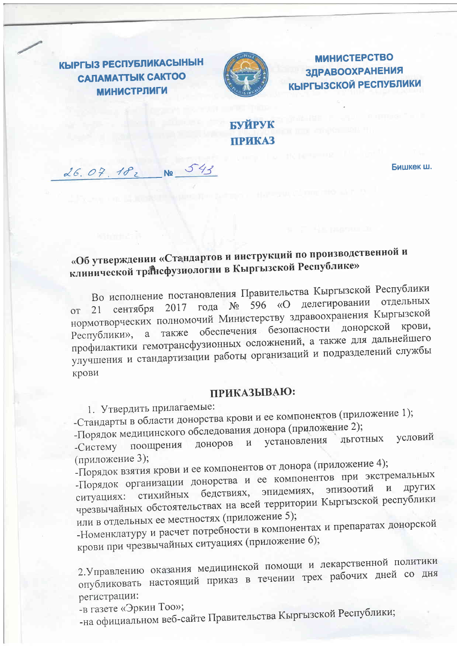КЫРГЫЗ РЕСПУБЛИКАСЫНЫН **CAЛAMATTЫК CAKTOO МИНИСТРЛИГИ** 

26.07.182 No 543



**МИНИСТЕРСТВО** ЗДРАВООХРАНЕНИЯ **КЫРГЫЗСКОЙ РЕСПУБЛИКИ** 

## БУЙРУК **ПРИКАЗ**

Бишкек ш.

## «Об утверждении «Стандартов и инструкций по производственной и клинической трансфузиологии в Кыргызской Республике»

Во исполнение постановления Правительства Кыргызской Республики 21 сентября 2017 года № 596 «О делегировании отдельных нормотворческих полномочий Министерству здравоохранения Кыргызской также обеспечения безопасности донорской крови, Республики», а профилактики гемотрансфузионных осложнений, а также для дальнейшего улучшения и стандартизации работы организаций и подразделений службы крови

## ПРИКАЗЫВАЮ:

1. Утвердить прилагаемые:

-Стандарты в области донорства крови и ее компонентов (приложение 1);

-Порядок медицинского обследования донора (приложение 2);

условий установления ЛЬГОТНЫХ доноров  $\mathbf{M}$ -Систему поощрения (приложение 3);

-Порядок взятия крови и ее компонентов от донора (приложение 4);

-Порядок организации донорства и ее компонентов при экстремальных ситуациях: стихийных бедствиях, эпидемиях, эпизоотий  $\mathbf{M}$ чрезвычайных обстоятельствах на всей территории Кыргызской республики или в отдельных ее местностях (приложение 5);

-Номенклатуру и расчет потребности в компонентах и препаратах донорской крови при чрезвычайных ситуациях (приложение 6);

2. Управлению оказания медицинской помощи и лекарственной политики опубликовать настоящий приказ в течении трех рабочих дней со дня регистрации:

-в газете «Эркин Тоо»;

-на официальном веб-сайте Правительства Кыргызской Республики;